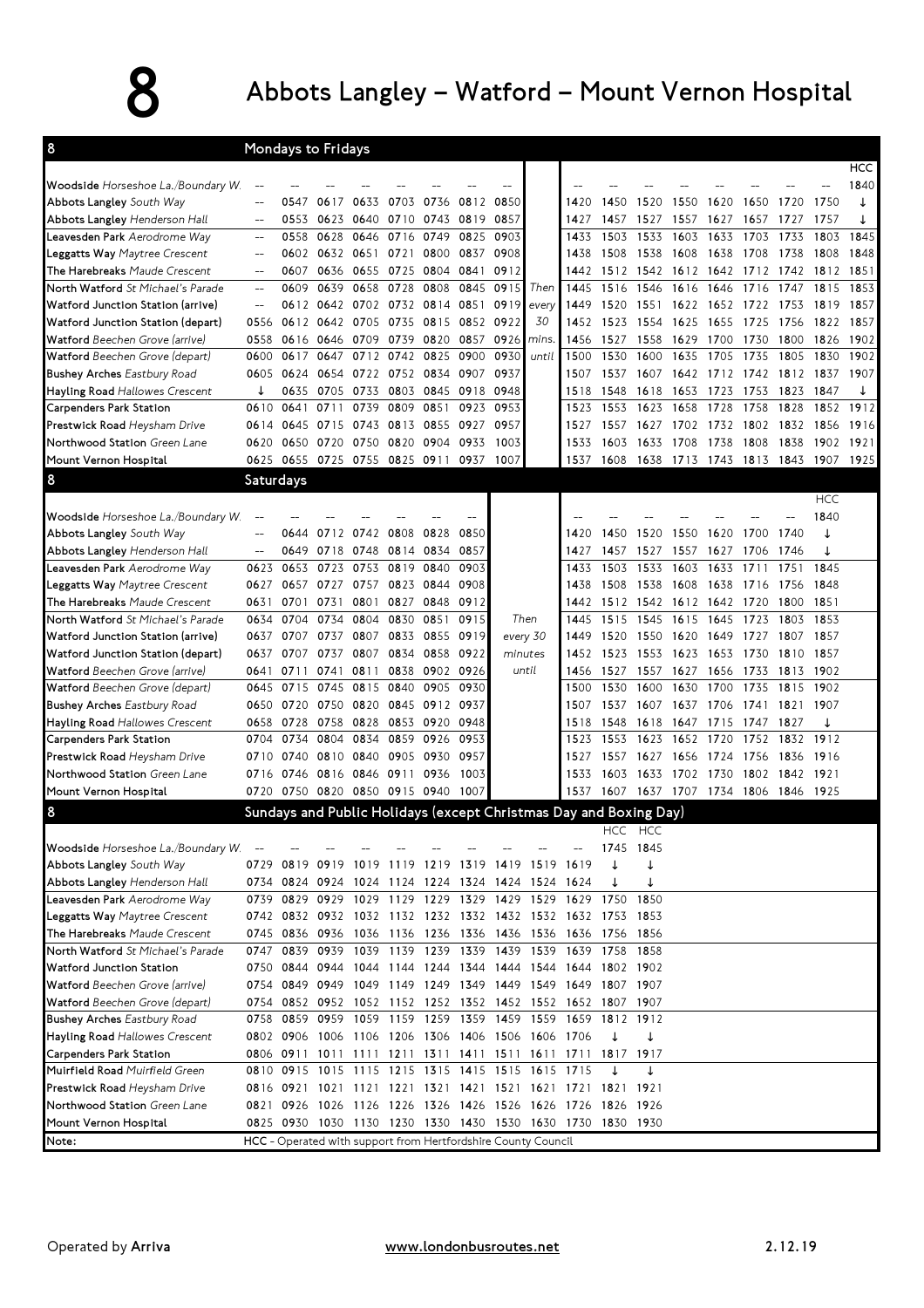## 8 Abbots Langley – Watford – Mount Vernon Hospital

| 8                                     |                | Mondays to Fridays                                                |           |      |                |           |      |           |       |      |           |           |                               |                |      |                |            |            |
|---------------------------------------|----------------|-------------------------------------------------------------------|-----------|------|----------------|-----------|------|-----------|-------|------|-----------|-----------|-------------------------------|----------------|------|----------------|------------|------------|
|                                       |                |                                                                   |           |      |                |           |      |           |       |      |           |           |                               |                |      |                |            | <b>HCC</b> |
| Woodside Horseshoe La./Boundary W.    | $\overline{a}$ |                                                                   |           |      |                |           |      |           |       |      |           |           |                               |                |      |                |            | 1840       |
| Abbots Langley South Way              | $-$            | 0547                                                              | 0617      | 0633 | 0703           | 0736      | 0812 | 0850      |       | 1420 | 1450      | 1520      | 1550                          | 1620           | 1650 | 1720           | 1750       |            |
| Abbots Langley Henderson Hall         | $\overline{a}$ | 0553                                                              | 0623      | 0640 | 0710           | 0743      | 0819 | 0857      |       | 1427 | 1457      | 1527      | 1557                          | 1627           | 1657 | 1727           | 1757       | ↓          |
| Leavesden Park Aerodrome Way          | $\overline{a}$ | 0558                                                              | 0628      | 0646 | 0716           | 0749      | 0825 | 0903      |       | 1433 | 1503      | 1533      | 1603                          | 1633           | 1703 | 1733           | 1803       | 1845       |
| Leggatts Way Maytree Crescent         | $-$            | 0602                                                              | 0632      | 0651 | 0721           | 0800      | 0837 | 0908      |       | 1438 | 1508      | 1538      | 1608                          | 1638           | 1708 | 1738           | 1808       | 1848       |
| The Harebreaks Maude Crescent         | $\overline{a}$ | 0607                                                              | 0636      | 0655 |                | 0725 0804 | 0841 | 0912      |       | 1442 |           | 1512 1542 | 1612                          | 1642           | 1712 | 1742           | 1812       | 1851       |
| North Watford St Michael's Parade     | $-$            | 0609                                                              | 0639      | 0658 | 0728           | 0808      | 0845 | 0915      | Then  | 1445 | 1516      | 1546      | 1616                          | 1646           | 1716 | 1747           | 1815       | 1853       |
| Watford Junction Station (arrive)     |                | 0612                                                              | 0642      | 0702 | 0732           | 0814      | 0851 | 0919      | every | 1449 | 1520      | 1551      | 1622                          | 1652           | 1722 | 1753           | 1819       | 1857       |
| Watford Junction Station (depart)     | 0556           |                                                                   | 0612 0642 | 0705 | 0735           | 0815      | 0852 | 0922      | 30    | 1452 | 1523      | 1554      | 1625                          | 1655           | 1725 | 1756           | 1822       | 1857       |
| Watford Beechen Grove (arrive)        | 0558           | 0616                                                              | 0646      | 0709 | 0739           | 0820      | 0857 | 0926      | mins. | 1456 | 1527      | 1558      | 1629                          | 1700           | 1730 | 1800           | 1826       | 1902       |
| Watford Beechen Grove (depart)        | 0600           | 0617                                                              | 0647      | 0712 | 0742           | 0825      | 0900 | 0930      | until | 1500 | 1530      | 1600      | 1635                          | 1705           | 1735 | 1805           | 1830       | 1902       |
| <b>Bushey Arches Eastbury Road</b>    | 0605           | 0624                                                              | 0654      |      | 0722 0752 0834 |           | 0907 | 0937      |       | 1507 | 1537      | 1607      |                               | 1642 1712 1742 |      | 1812 1837      |            | 1907       |
| Hayling Road Hallowes Crescent        |                | 0635                                                              | 0705      | 0733 |                | 0803 0845 | 0918 | 0948      |       | 1518 | 1548      | 1618      | 1653                          | 1723           | 1753 | 1823           | 1847       |            |
| Carpenders Park Station               | 0610           | 0641                                                              | 0711      | 0739 | 0809           | 0851      | 0923 | 0953      |       | 1523 | 1553      | 1623      | 1658                          | 1728           | 1758 | 1828           | 1852       | 1912       |
| Prestwick Road Heysham Drive          | 0614           | 0645                                                              | 0715      | 0743 | 0813           | 0855      | 0927 | 0957      |       | 1527 | 1557      | 1627      | 1702                          | 1732           | 1802 | 1832           | 1856       | 1916       |
| Northwood Station Green Lane          | 0620           | 0650                                                              | 0720      | 0750 | 0820           | 0904      | 0933 | 1003      |       | 1533 | 1603      | 1633      | 1708                          | 1738           | 1808 | 1838           | 1902       | 1921       |
| Mount Vernon Hospital                 | 0625           | 0655                                                              | 0725      | 0755 | 0825 0911      |           | 0937 | 1007      |       | 1537 | 1608      | 1638      | 1713                          | 1743 1813      |      | 1843           | 1907       | 1925       |
| 8                                     | Saturdays      |                                                                   |           |      |                |           |      |           |       |      |           |           |                               |                |      |                |            |            |
|                                       |                |                                                                   |           |      |                |           |      |           |       |      |           |           |                               |                |      |                | <b>HCC</b> |            |
| Woodside Horseshoe La./Boundary W.    |                |                                                                   |           |      |                |           |      |           |       |      |           |           |                               |                |      |                | 1840       |            |
| Abbots Langley South Way              | $-$            | 0644                                                              | 0712      | 0742 | 0808           | 0828      | 0850 |           |       | 1420 | 1450      | 1520      | 1550                          | 1620           | 1700 | 1740           | ↓          |            |
| Abbots Langley Henderson Hall         | $-$            | 0649                                                              | 0718      | 0748 | 0814 0834      |           | 0857 |           |       | 1427 | 1457      | 1527      | 1557                          | 1627           | 1706 | 1746           | ↓          |            |
| Leavesden Park Aerodrome Way          | 0623           | 0653                                                              | 0723      | 0753 | 0819           | 0840      | 0903 |           |       | 1433 | 1503      | 1533      | 1603                          | 1633           | 1711 | 1751           | 1845       |            |
| <b>Leggatts Way</b> Maytree Crescent  | 0627           | 0657                                                              | 0727      | 0757 | 0823           | 0844      | 0908 |           |       | 1438 | 1508      | 1538      | 1608                          | 1638           | 1716 | 1756           | 1848       |            |
| The Harebreaks Maude Crescent         | 0631           | 0701                                                              | 0731      | 0801 | 0827           | 0848      | 0912 |           |       | 1442 |           | 1512 1542 | 1612                          | 1642           | 1720 | 1800           | 1851       |            |
| North Watford St Michael's Parade     | 0634           | 0704                                                              | 0734      | 0804 | 0830           | 0851      | 0915 | Then      |       | 1445 | 1515      | 1545      | 1615                          | 1645           | 1723 | 1803           | 1853       |            |
| Watford Junction Station (arrive)     | 0637           | 0707                                                              | 0737      | 0807 | 0833           | 0855      | 0919 | every 30  |       | 1449 | 1520      | 1550      | 1620                          | 1649           | 1727 | 1807           | 1857       |            |
| Watford Junction Station (depart)     | 0637           | 0707                                                              | 0737      | 0807 | 0834           | 0858      | 0922 | minutes   |       | 1452 | 1523      | 1553      | 1623                          | 1653           | 1730 | 1810           | 1857       |            |
| Watford Beechen Grove (arrive)        | 0641           | 0711                                                              | 0741      | 0811 | 0838           | 0902      | 0926 | until     |       | 1456 | 1527      | 1557      | 1627                          | 1656           | 1733 | 1813           | 1902       |            |
| Watford Beechen Grove (depart)        | 0645           | 0715                                                              | 0745      | 0815 | 0840           | 0905      | 0930 |           |       | 1500 | 1530      | 1600      | 1630                          | 1700           | 1735 | 1815           | 1902       |            |
| <b>Bushey Arches Eastbury Road</b>    | 0650           | 0720                                                              | 0750      | 0820 |                | 0845 0912 | 0937 |           |       | 1507 | 1537      | 1607      | 1637                          | 1706           | 1741 | 1821           | 1907       |            |
| <b>Hayling Road Hallowes Crescent</b> | 0658           | 0728                                                              | 0758      | 0828 | 0853 0920      |           | 0948 |           |       | 1518 | 1548      | 1618      | 1647                          | 1715           | 1747 | 1827           | ↓          |            |
| Carpenders Park Station               | 0704           | 0734                                                              | 0804      | 0834 | 0859           | 0926      | 0953 |           |       | 1523 | 1553      | 1623      | 1652                          | 1720           | 1752 | 1832           | 1912       |            |
| Prestwick Road Heysham Drive          | 0710           | 0740 0810                                                         |           | 0840 | 0905 0930      |           | 0957 |           |       | 1527 | 1557      | 1627      | 1656 1724                     |                | 1756 | 1836           | 1916       |            |
| Northwood Station Green Lane          |                | 0716 0746 0816 0846 0911                                          |           |      |                | 0936      | 1003 |           |       | 1533 | 1603      | 1633      | 1702 1730                     |                |      | 1802 1842 1921 |            |            |
| Mount Vernon Hospital                 |                | 0720 0750 0820 0850 0915 0940                                     |           |      |                |           | 1007 |           |       |      |           |           | 1537 1607 1637 1707 1734 1806 |                |      | 1846 1925      |            |            |
| 8                                     |                | Sundays and Public Holidays (except Christmas Day and Boxing Day) |           |      |                |           |      |           |       |      |           |           |                               |                |      |                |            |            |
|                                       |                |                                                                   |           |      |                |           |      |           |       |      |           | HCC HCC   |                               |                |      |                |            |            |
| Woodside Horseshoe La./Boundary W.    |                |                                                                   |           |      |                |           |      |           |       |      | 1745 1845 |           |                               |                |      |                |            |            |
| Abbots Langley South Way              | 0729           | 0819                                                              | 0919      | 1019 | 1119           | 1219      | 1319 | 1419 1519 |       | 1619 |           |           |                               |                |      |                |            |            |
| Abbots Langley Henderson Hall         |                | 0734 0824 0924 1024 1124 1224 1324 1424 1524 1624                 |           |      |                |           |      |           |       |      |           | ↓         |                               |                |      |                |            |            |
| Leavesden Park Aerodrome Way          |                | 0739 0829 0929 1029 1129 1229 1329 1429 1529 1629 1750            |           |      |                |           |      |           |       |      |           | 1850      |                               |                |      |                |            |            |
| Leggatts Way Maytree Crescent         |                | 0742 0832 0932 1032 1132 1232 1332 1432 1532 1632 1753            |           |      |                |           |      |           |       |      |           | 1853      |                               |                |      |                |            |            |
| The Harebreaks Maude Crescent         |                | 0745 0836 0936 1036 1136 1236 1336 1436 1536 1636 1756 1856       |           |      |                |           |      |           |       |      |           |           |                               |                |      |                |            |            |
| North Watford St Michael's Parade     |                | 0747 0839 0939 1039 1139 1239 1339 1439 1539 1639 1758 1858       |           |      |                |           |      |           |       |      |           |           |                               |                |      |                |            |            |
| Watford Junction Station              |                | 0750 0844 0944 1044 1144 1244 1344 1444 1544 1644 1802 1902       |           |      |                |           |      |           |       |      |           |           |                               |                |      |                |            |            |
| Watford Beechen Grove (arrive)        |                | 0754 0849 0949 1049 1149 1249 1349 1449 1549 1649 1807 1907       |           |      |                |           |      |           |       |      |           |           |                               |                |      |                |            |            |
| Watford Beechen Grove (depart)        |                | 0754 0852 0952 1052 1152 1252 1352 1452 1552 1652 1807 1907       |           |      |                |           |      |           |       |      |           |           |                               |                |      |                |            |            |
| <b>Bushey Arches Eastbury Road</b>    |                | 0758 0859 0959 1059 1159 1259 1359 1459 1559 1659 1812 1912       |           |      |                |           |      |           |       |      |           |           |                               |                |      |                |            |            |
| Hayling Road Hallowes Crescent        |                | 0802 0906 1006 1106 1206 1306 1406 1506 1606                      |           |      |                |           |      |           |       | 1706 | ↓         | ↓         |                               |                |      |                |            |            |
| <b>Carpenders Park Station</b>        |                | 0806 0911 1011 1111 1211 1311 1411 1511 1611 1711 1817 1917       |           |      |                |           |      |           |       |      |           |           |                               |                |      |                |            |            |
| Muirfield Road Muirfield Green        |                | 0810 0915 1015 1115 1215 1315 1415 1515 1615 1715                 |           |      |                |           |      |           |       |      |           |           |                               |                |      |                |            |            |
| Prestwick Road Heysham Drive          |                | 0816 0921 1021 1121 1221 1321 1421 1521 1621 1721 1821 1921       |           |      |                |           |      |           |       |      |           |           |                               |                |      |                |            |            |
| Northwood Station Green Lane          |                | 0821 0926 1026 1126 1226 1326 1426 1526 1626 1726 1826 1926       |           |      |                |           |      |           |       |      |           |           |                               |                |      |                |            |            |
| Mount Vernon Hospital                 |                | 0825 0930 1030 1130 1230 1330 1430 1530 1630 1730 1830 1930       |           |      |                |           |      |           |       |      |           |           |                               |                |      |                |            |            |
| Note:                                 |                | HCC - Operated with support from Hertfordshire County Council     |           |      |                |           |      |           |       |      |           |           |                               |                |      |                |            |            |